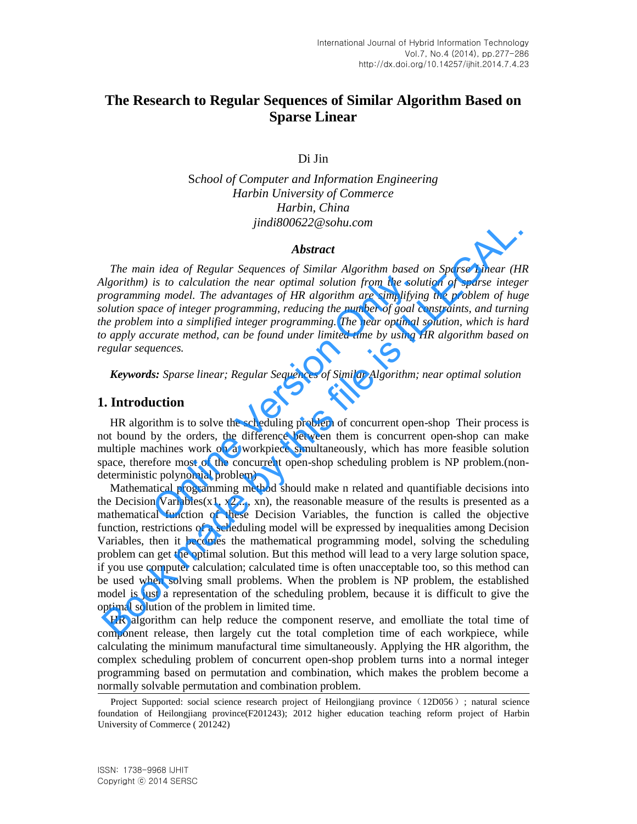# **The Research to Regular Sequences of Similar Algorithm Based on Sparse Linear**

Di Jin

S*chool of Computer and Information Engineering Harbin University of Commerce Harbin, China jindi800622@sohu.com* 

#### *Abstract*

*The main idea of Regular Sequences of Similar Algorithm based on Sparse Linear (HR Algorithm) is to calculation the near optimal solution from the solution of sparse integer programming model. The advantages of HR algorithm are simplifying the problem of huge solution space of integer programming, reducing the number of goal constraints, and turning the problem into a simplified integer programming. The near optimal solution, which is hard to apply accurate method, can be found under limited time by using HR algorithm based on regular sequences.*  is to calculation the near optimal solution from the solution<br>or model. The advantages of HR algorithm are simplifyint<br>ce of integer programming, reducing the number of goal c<br>into a simplified integer programming. The ne

*Keywords: Sparse linear; Regular Sequences of Similar Algorithm; near optimal solution* 

#### **1. Introduction**

HR algorithm is to solve the scheduling problem of concurrent open-shop Their process is not bound by the orders, the difference between them is concurrent open-shop can make multiple machines work on a workpiece simultaneously, which has more feasible solution space, therefore most of the concurrent open-shop scheduling problem is NP problem.(nondeterministic polynomial problem)

Mathematical programming method should make n related and quantifiable decisions into the Decision Variables(x1, x2,..., xn), the reasonable measure of the results is presented as a mathematical function of these Decision Variables, the function is called the objective function, restrictions of a scheduling model will be expressed by inequalities among Decision Variables, then it becomes the mathematical programming model, solving the scheduling problem can get the optimal solution. But this method will lead to a very large solution space, if you use computer calculation; calculated time is often unacceptable too, so this method can be used when solving small problems. When the problem is NP problem, the established model is just a representation of the scheduling problem, because it is difficult to give the optimal solution of the problem in limited time. JImatsOUb22/@ sont.com<br> **Abstract**<br> **Abstract**<br> **Abstract**<br> **Algorithm**) is to calculation the near optimal oducion from the solution of sparse Linear (H<br> **Mgorithm**) is to calculation the near optimal solution from the s

HR algorithm can help reduce the component reserve, and emolliate the total time of component release, then largely cut the total completion time of each workpiece, while calculating the minimum manufactural time simultaneously. Applying the HR algorithm, the complex scheduling problem of concurrent open-shop problem turns into a normal integer programming based on permutation and combination, which makes the problem become a normally solvable permutation and combination problem.

Project Supported: social science research project of Heilongjiang province (12D056); natural science foundation of Heilongjiang province(F201243); 2012 higher education teaching reform project of Harbin University of Commerce ( 201242)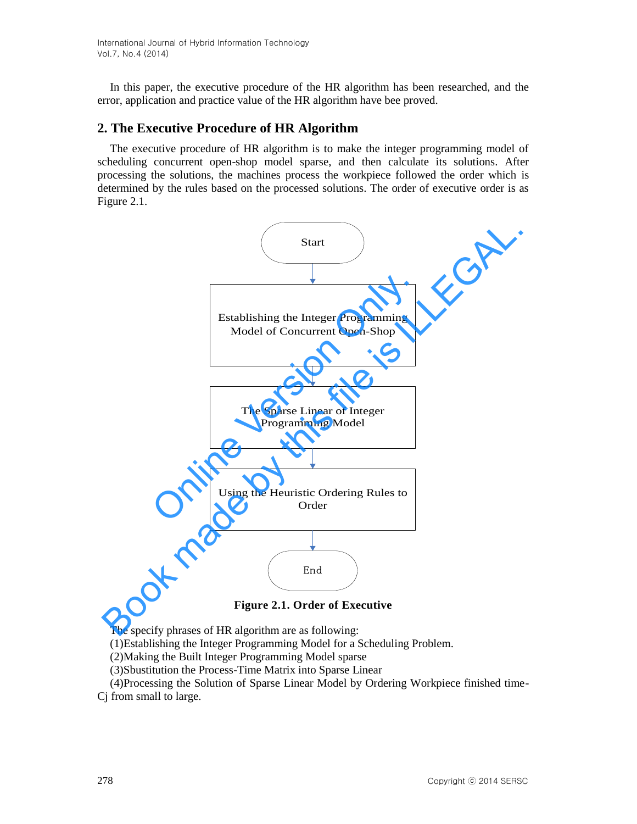In this paper, the executive procedure of the HR algorithm has been researched, and the error, application and practice value of the HR algorithm have bee proved.

# **2. The Executive Procedure of HR Algorithm**

The executive procedure of HR algorithm is to make the integer programming model of scheduling concurrent open-shop model sparse, and then calculate its solutions. After processing the solutions, the machines process the workpiece followed the order which is determined by the rules based on the processed solutions. The order of executive order is as Figure 2.1.



**Figure 2.1. Order of Executive** 

The specify phrases of HR algorithm are as following:

(1)Establishing the Integer Programming Model for a Scheduling Problem.

(2)Making the Built Integer Programming Model sparse

(3)Sbustitution the Process-Time Matrix into Sparse Linear

(4)Processing the Solution of Sparse Linear Model by Ordering Workpiece finished time-

Cj from small to large.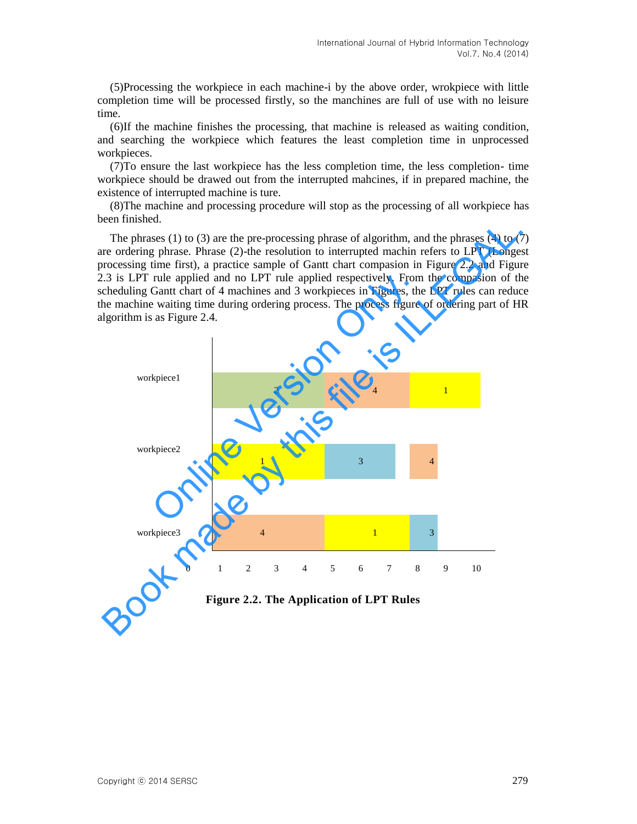(5)Processing the workpiece in each machine-i by the above order, wrokpiece with little completion time will be processed firstly, so the manchines are full of use with no leisure time.

(6)If the machine finishes the processing, that machine is released as waiting condition, and searching the workpiece which features the least completion time in unprocessed workpieces.

(7)To ensure the last workpiece has the less completion time, the less completion- time workpiece should be drawed out from the interrupted mahcines, if in prepared machine, the existence of interrupted machine is ture.

(8)The machine and processing procedure will stop as the processing of all workpiece has been finished.

The phrases  $(1)$  to  $(3)$  are the pre-processing phrase of algorithm, and the phrases  $(4)$  to  $(7)$ are ordering phrase. Phrase (2)-the resolution to interrupted machin refers to LPT (Longest processing time first), a practice sample of Gantt chart compasion in Figure 2.2 and Figure 2.3 is LPT rule applied and no LPT rule applied respectively. From the compasion of the scheduling Gantt chart of 4 machines and 3 workpieces in Figures, the LPT rules can reduce the machine waiting time during ordering process. The process figure of ordering part of HR algorithm is as Figure 2.4.



**Figure 2.2. The Application of LPT Rules**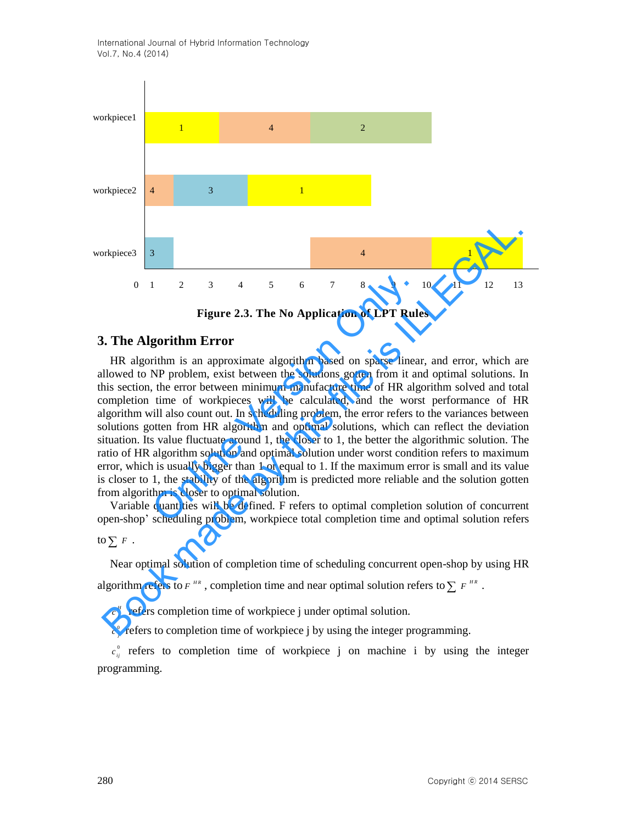International Journal of Hybrid Information Technology Vol.7, No.4 (2014)



**Figure 2.3. The No Application of LPT Rules** 

# **3. The Algorithm Error**

HR algorithm is an approximate algorithm based on sparse linear, and error, which are allowed to NP problem, exist between the solutions gotten from it and optimal solutions. In this section, the error between minimum manufacture time of HR algorithm solved and total completion time of workpieces will be calculated, and the worst performance of HR algorithm will also count out. In scheduling problem, the error refers to the variances between solutions gotten from HR algorithm and optimal solutions, which can reflect the deviation situation. Its value fluctuate around 1, the closer to 1, the better the algorithmic solution. The ratio of HR algorithm solution and optimal solution under worst condition refers to maximum error, which is usually bigger than 1 or equal to 1. If the maximum error is small and its value is closer to 1, the stability of the algorithm is predicted more reliable and the solution gotten from algorithm is closer to optimal solution. 1 2 3 4 5 6 7 8 9<br> **Figure 2.3. The No Application of LPT Rule**<br> **gorithm Error**<br> **Figure 2.3. The No Application of LPT Rule**<br> **gorithm Error**<br> **Error**<br> **Example 1** and the solutions gotten from it and<br>
the error between **Book manufation 3**<br>**Book made by the SCAL CONDIGATION** of  $\sum F^{in}$ ,  $\sum F^{in}$  and  $\sum F^{in}$  and  $\sum F^{in}$  and  $\sum F^{in}$  and  $\sum F^{in}$  and  $\sum F^{in}$  and  $\sum F^{in}$  and  $\sum F^{in}$  and  $\sum F^{in}$  and  $\sum F^{in}$  and  $\sum F^{in}$  and  $\sum F^{in}$ 

Variable quantities will be defined. F refers to optimal completion solution of concurrent open-shop' scheduling problem, workpiece total completion time and optimal solution refers

to  $\sum F$ .

Near optimal solution of completion time of scheduling concurrent open-shop by using HR

algorithm refers to  $F^{HR}$ , completion time and near optimal solution refers to  $\sum F^{HR}$ .

 $c_j^H$  refers completion time of workpiece j under optimal solution.

 $c_j^0$  refers to completion time of workpiece j by using the integer programming.

 $c_{ij}^{\circ}$  refers to completion time of workpiece j on machine i by using the integer programming.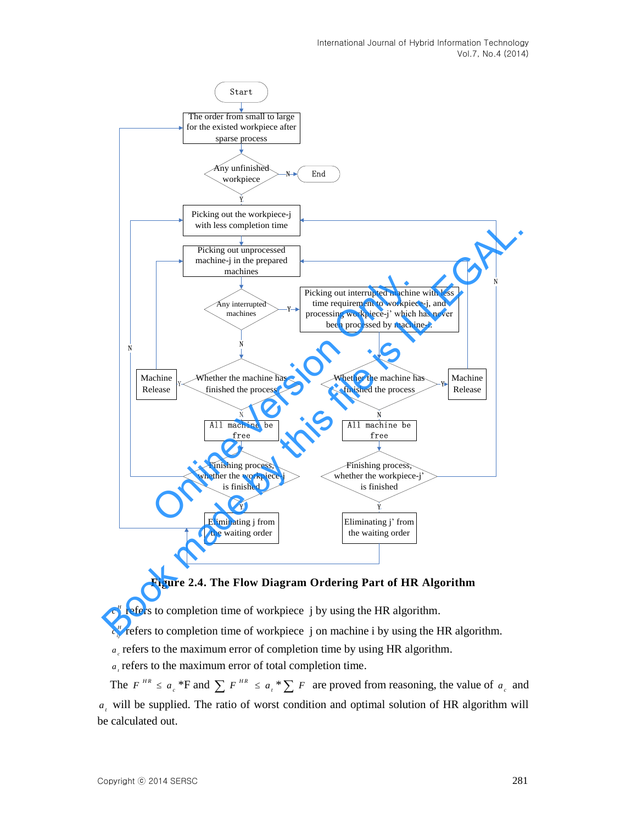

**Figure 2.4. The Flow Diagram Ordering Part of HR Algorithm** 

 $c_j^{\mu}$  refers to completion time of workpiece j by using the HR algorithm.

 $c_{ij}^H$  refers to completion time of workpiece j on machine i by using the HR algorithm.

*c a* refers to the maximum error of completion time by using HR algorithm.

*t a* refers to the maximum error of total completion time.

The  $F^{HR} \le a_c *F$  and  $\sum F^{HR} \le a_t * \sum F$  are proved from reasoning, the value of  $a_c$  and *t a* will be supplied. The ratio of worst condition and optimal solution of HR algorithm will be calculated out.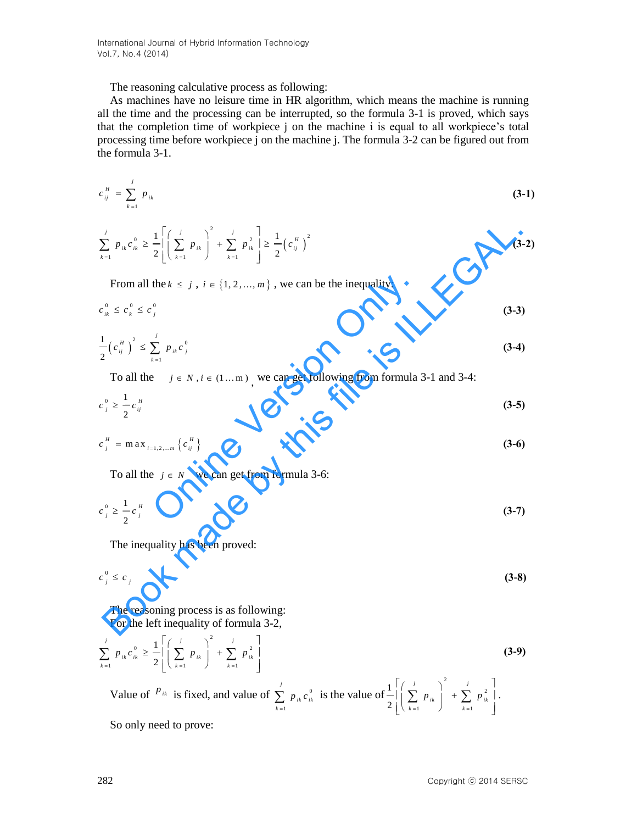International Journal of Hybrid Information Technology Vol.7, No.4 (2014)

The reasoning calculative process as following:

As machines have no leisure time in HR algorithm, which means the machine is running all the time and the processing can be interrupted, so the formula 3-1 is proved, which says that the completion time of workpiece j on the machine i is equal to all workpiece's total processing time before workpiece j on the machine j. The formula 3-2 can be figured out from the formula 3-1.

$$
c_{ij}^H = \sum_{k=1}^j p_{ik} \tag{3-1}
$$

$$
\sum_{k=1}^{j} p_{ik} c_{ik}^0 \ge \frac{1}{2} \left[ \left( \sum_{k=1}^{j} p_{ik} \right)^2 + \sum_{k=1}^{j} p_{ik}^2 \right] \ge \frac{1}{2} \left( c_{ij}^H \right)^2
$$
\nFrom all the  $k \le j$ ,  $i \in \{1, 2, ..., m\}$ , we can be the inequality:

\n
$$
c_{ik}^0 \le c_k^0 \le c_j^0
$$
\n
$$
\frac{1}{2} \left( c_{ij}^H \right)^2 \le \sum_{k=1}^{j} p_{ik} c_j^0
$$
\n70 all the  $j \in N$ ,  $i \in (1...m)$ , we can get following from formula 3-1 and 3-4:

\n
$$
c_j^0 \ge \frac{1}{2} c_{ij}^H
$$
\n
$$
c_j^H = \max_{i=1, 2, ..., m} \left\{ c_{ij}^H \right\}
$$
\n70 all the  $j \in N$  we can get from formula 3-6:

\n
$$
c_j^0 \ge \frac{1}{2} c_j^H
$$
\n
$$
c_j^0 \ge \frac{1}{2} c_j^H
$$
\nThe inequality has been proved:

\n
$$
c_j^0 \le c_j
$$
\nThe reasoning process is as following:

\nFor the left inequality of formula 3-2,

From all the  $k \leq j$ ,  $i \in \{1, 2, ..., m\}$ , we can be the inequality:

$$
c_{ik}^0 \leq c_k^0 \leq c_j^0 \tag{3-3}
$$

From all the 
$$
k \le j
$$
,  $i \in \{1, 2, ..., m\}$ , we can be the inequality:  
\n
$$
c_{ik}^{0} \le c_{k}^{0} \le c_{j}^{0}
$$
\n
$$
\frac{1}{2} (c_{ij}^{H})^{2} \le \sum_{k=1}^{j} p_{ik} c_{j}^{0}
$$
\nTo all the  $j \in N$ ,  $i \in (1...m)$ , we can get following from formula 3-1 and 3-4:  
\n
$$
c_{j}^{0} \ge \frac{1}{2} c_{ij}^{H}
$$
\n
$$
c_{j}^{H} = \max_{i=1,2,...,m} \{c_{ij}^{H}\}
$$
\n(3-6)  
\nTo all the  $j \in N$  we can get from formula 3-6:  
\n
$$
c_{j}^{0} \ge \frac{1}{2} c_{j}^{H}
$$
\n(3-7)

To all the  $j \in N$ ,  $i \in (1...m)$ , we can get following from formula 3-1 and 3-4:

$$
c_j^0 \ge \frac{1}{2} c_{ij}^H
$$
 (3-5)

$$
c_j^H = \max_{i=1,2,...,m} \left\{ c_{ij}^H \right\}
$$
 (3-6)

To all the  $j \in N$  we can get from formula 3-6:

$$
c_j^0 \ge \frac{1}{2} c_j^H \tag{3-7}
$$

The inequality has been proved:

$$
c_j^0 \le c_j \tag{3-8}
$$

The reasoning process is as following: For the left inequality of formula 3-2,

 $\overline{2}$ 

$$
\sum_{k=1}^{j} p_{ik} c_{ik}^{0} \ge \frac{1}{2} \left[ \left( \sum_{k=1}^{j} p_{ik} \right)^{2} + \sum_{k=1}^{j} p_{ik}^{2} \right]
$$
\n(3-9)

Value of  $P_{ik}$  is fixed, and value of  $\sum_{n=1}^{\infty} p_{ik} c_{ik}^0$ 1 *ik ik k p c*  $\sum_{k=1} p_{ik} c_{ik}^0$  is the value of  $\frac{1}{2} \left| \left( \sum_{k=1} p_{ik} \right) \right| + \sum_{k=1} p_{ik}^2$ 1  $\bigcup$   $k=1$ 1  $2\left( \left( \begin{array}{c} \sum_{k=1}^{\infty} P_{ik} \end{array} \right) \right)$   $\sum_{k=1}^{\infty} P_{ik}$  $p_{ik}$ <sup> $\vert$ </sup> +  $\sum p$  $\left[\left(\sum_{k=1}^{j} p_{ik}\right)^{2} + \sum_{k=1}^{j} p_{ik}^{2}\right].$  $\left[\begin{array}{ccc} \mathbf{z} & \mathbf{r} & \mathbf{r} & \mathbf{r} \\ \mathbf{k} & \mathbf{r} & \mathbf{r} \end{array}\right]$   $\left[\begin{array}{c} \mathbf{z} & \mathbf{r} & \mathbf{r} \\ \mathbf{k} & \mathbf{r} \end{array}\right]$  $\sum^{\prime} P_{ik}$  +  $\sum^{\prime} P_{ik}^2$  .

So only need to prove: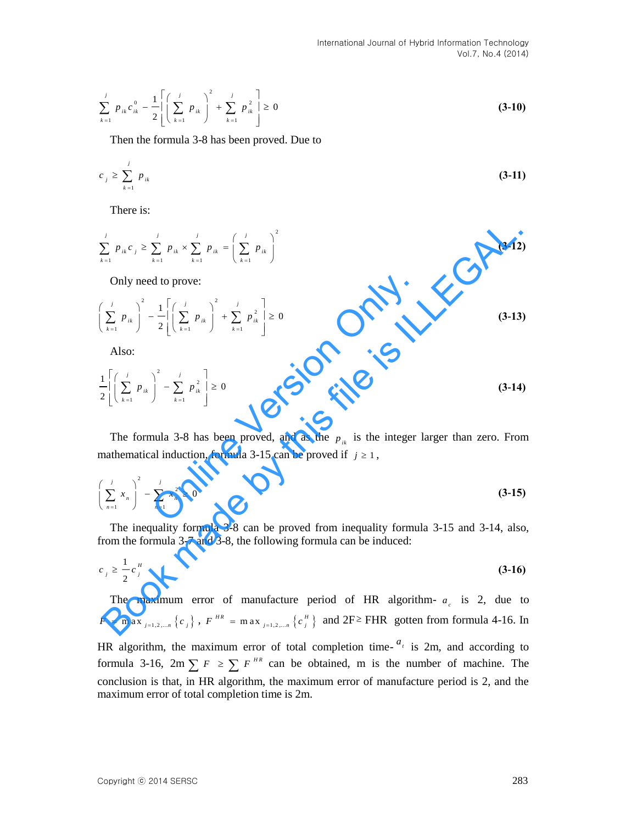$$
\sum_{k=1}^{j} p_{ik} c_{ik}^{0} - \frac{1}{2} \left[ \left( \sum_{k=1}^{j} p_{ik} \right)^{2} + \sum_{k=1}^{j} p_{ik}^{2} \right] \ge 0
$$
\n(3-10)

Then the formula 3-8 has been proved. Due to

$$
c_j \geq \sum_{k=1}^j p_{ik} \tag{3-11}
$$

There is:

$$
\sum_{k=1}^{j} p_{ik} c_j \ge \sum_{k=1}^{j} p_{ik} \times \sum_{k=1}^{j} p_{ik} = \left(\sum_{k=1}^{j} p_{ik}\right)^2
$$
 (3-12)

Only need to prove:

$$
\sum_{k=1}^{j} p_{ik} c_j \ge \sum_{k=1}^{j} p_{ik} \times \sum_{k=1}^{j} p_{ik} = \left(\sum_{k=1}^{j} p_{ik}\right)^2
$$
\n(3-12)

\nOnly need to prove:

\n
$$
\left(\sum_{k=1}^{j} p_{ik}\right)^2 - \frac{1}{2} \left[\left(\sum_{k=1}^{j} p_{ik}\right)^2 + \sum_{k=1}^{j} p_{ik}^2\right] \ge 0
$$
\n(3-13)

\nAlso:

\n
$$
\frac{1}{2} \left[\left(\sum_{k=1}^{j} p_{ik}\right)^2 - \sum_{k=1}^{j} p_{ik}^2\right] \ge 0
$$
\n(3-14)

\nThe formula 3-8 has been proved, and as the  $p_{ik}$  is the integer larger than zero. From mathematical induction, formula 3-15 can be proved if  $j \ge 1$ ,

\n
$$
\left(\sum_{n=1}^{j} x_n\right)^2 - \sum_{n=1}^{j} x_n^2 \ge 0
$$
\n(3-15)

\nThe inequality formula 3-8 can be proved from inequality formula 3-15 and 3-14, also, from the formula 3-7 and 3-8, the following formula can be induced:

\n
$$
c_j \ge \frac{1}{2} c_j^{\frac{n}{j}}
$$
\n(3-16)

\nThe maximum error of manufacture period of HR algorithm-  $a_{\ell}$  is 2, due to  $F = \max_{j=1,2,\ldots,n} \{c_j\}$ ,  $F^{\frac{n}{B}} = \max_{j=1,2,\ldots,n} \{c_j^{\frac{n}{B}}\}$  and  $2F^{\ge} FHR$  gotten from formula 4-16. In

Also:

$$
\frac{1}{2}\left[\left(\sum_{k=1}^{j} P_{ik}\right)^2 - \sum_{k=1}^{j} P_{ik}^2\right] \ge 0
$$
\n(3-14)

The formula 3-8 has been proved, and as the  $p_{ik}$  is the integer larger than zero. From mathematical induction, formula 3-15 can be proved if  $j \ge 1$ ,

$$
\left(\sum_{n=1}^{j} x_n\right)^2 - \sum_{n=1}^{j} x_n^2 \ge 0
$$
\n(3-15)

The inequality formula 3-8 can be proved from inequality formula 3-15 and 3-14, also, from the formula 3-7 and 3-8, the following formula can be induced:

$$
c_j \geq \frac{1}{2} c_j^{\mu} \tag{3-16}
$$

The maximum error of manufacture period of HR algorithm-  $a_c$  is 2, due to  $F = \max_{j=1, 2, \dots, n} \left\{ c_j \right\}$ ,  $F^{HR} = \max_{j=1, 2, \dots, n} \left\{ c_j^H \right\}$  and  $2F \ge FHR$  gotten from formula 4-16. In

HR algorithm, the maximum error of total completion time- $a_i$  is 2m, and according to formula 3-16,  $2m \sum F \ge \sum F^{HR}$  can be obtained, m is the number of machine. The conclusion is that, in HR algorithm, the maximum error of manufacture period is 2, and the maximum error of total completion time is 2m.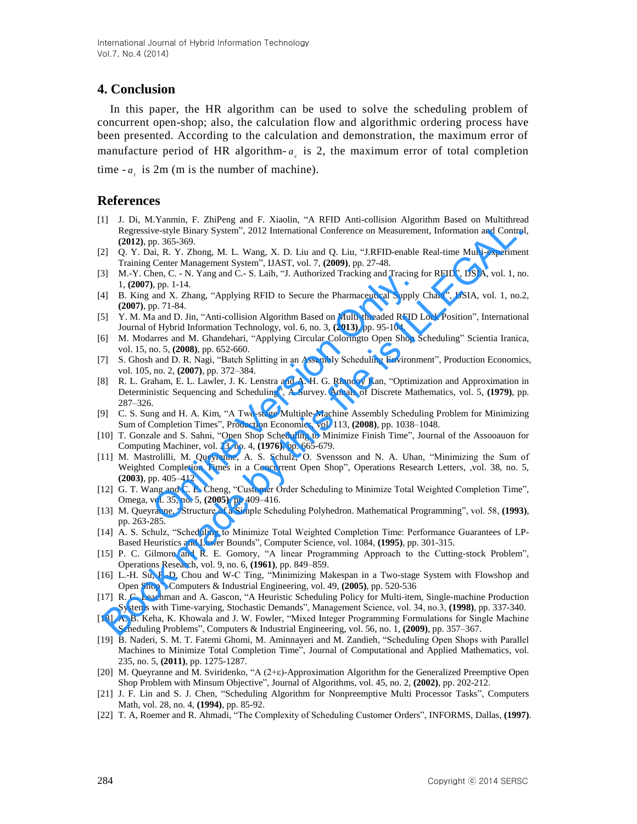# **4. Conclusion**

In this paper, the HR algorithm can be used to solve the scheduling problem of concurrent open-shop; also, the calculation flow and algorithmic ordering process have been presented. According to the calculation and demonstration, the maximum error of manufacture period of HR algorithm- $a_c$  is 2, the maximum error of total completion

time  $-a_i$  is 2m (m is the number of machine).

### **References**

- [1] J. Di, M.Yanmin, F. ZhiPeng and F. Xiaolin, "A RFID Anti-collision Algorithm Based on Multithread Regressive-style Binary System", 2012 International Conference on Measurement, Information and Control, **(2012)**, pp. 365-369.
- [2] Q. Y. Dai, R. Y. Zhong, M. L. Wang, X. D. Liu and Q. Liu, "J.RFID-enable Real-time Multi-experiment Training Center Management System", IJAST, vol. 7, **(2009)**, pp. 27-48.
- [3] M.-Y. Chen, C. N. Yang and C.- S. Laih, "J. Authorized Tracking and Tracing for RFID", IJSIA, vol. 1, no. 1, **(2007)**, pp. 1-14.
- [4] B. King and X. Zhang, "Applying RFID to Secure the Pharmaceutical Supply Chain", IJSIA, vol. 1, no.2, **(2007)**, pp. 71-84.
- [5] Y. M. Ma and D. Jin, "Anti-collision Algorithm Based on Multi-threaded RFID Lock Position", International Journal of Hybrid Information Technology, vol. 6, no. 3, **(2013)**, pp. 95-104.
- [6] M. Modarres and M. Ghandehari, "Applying Circular Coloringto Open Shop Scheduling" Scientia Iranica, vol. 15, no. 5, **(2008)**, pp. 652-660.
- [7] S. Ghosh and D. R. Nagi, "Batch Splitting in an Assembly Scheduling Environment", Production Economics, vol. 105, no. 2, **(2007)**, pp. 372–384.
- [8] R. L. Graham, E. L. Lawler, J. K. Lenstra and A. H. G. Rinnooy Kan, "Optimization and Approximation in Deterministic Sequencing and Scheduling", A Survey. Annals of Discrete Mathematics, vol. 5, **(1979)**, pp. 287–326.
- [9] C. S. Sung and H. A. Kim, "A Two-stage Multiple-Machine Assembly Scheduling Problem for Minimizing Sum of Completion Times", Production Economics, vol. 113, **(2008)**, pp. 1038–1048.
- [10] T. Gonzale and S. Sahni, "Open Shop Scheduling to Minimize Finish Time", Journal of the Assooauon for Computing Machiner, vol. 23, no. 4, **(1976)**, pp. 665-679.
- [11] M. Mastrolilli, M. Queyranne, A. S. Schulz, O. Svensson and N. A. Uhan, "Minimizing the Sum of Weighted Completion Times in a Concurrent Open Shop", Operations Research Letters, ,vol. 38, no. 5, **(2003)**, pp. 405–412 enen, C. - N. Tang and C.- 3. Lam, J. Authorized Tracking and Tracing<br>
1, pp. 1-14.<br>
and X. Zhang, "Applying RFID to Secure the Pharmaceutical Supply<br>
pp. 71-84.<br>
and D. Jin, "Anti-collision Algorithm Based on Multi-thread 1 D. E., S. T. and T. E. Heren, and T. A. Kim J. S. E. I. and O. This file is ILLEGAL (2012), pp. 363-50, pp. 363-60, pp. 363-60, pp. 37. This Fig. California (2012). The income of Neumannia Conference on Measurement, Info
- [12] G. T. Wang and C. E. Cheng, "Customer Order Scheduling to Minimize Total Weighted Completion Time", Omega, vol. 35, no. 5, **(2005)**, pp 409–416.
- [13] M. Queyranne, "Structure of a Simple Scheduling Polyhedron. Mathematical Programming", vol. 58, **(1993)**, pp. 263-285.
- [14] A. S. Schulz, "Scheduling to Minimize Total Weighted Completion Time: Performance Guarantees of LP-Based Heuristics and Lower Bounds", Computer Science, vol. 1084, **(1995)**, pp. 301-315.
- [15] P. C. Gilmore and R. E. Gomory, "A linear Programming Approach to the Cutting-stock Problem", Operations Research, vol. 9, no. 6, **(1961)**, pp. 849–859.
- [16] L.-H. Su, F.-D. Chou and W-C Ting, "Minimizing Makespan in a Two-stage System with Flowshop and Open Shop", Computers & Industrial Engineering, vol. 49, **(2005)**, pp. 520-536
- [17] R. C. Leachman and A. Gascon, "A Heuristic Scheduling Policy for Multi-item, Single-machine Production Systems with Time-varying, Stochastic Demands", Management Science, vol. 34, no.3, **(1998)**, pp. 337-340.
- [18] A. B. Keha, K. Khowala and J. W. Fowler, "Mixed Integer Programming Formulations for Single Machine Scheduling Problems", Computers & Industrial Engineering, vol. 56, no. 1, **(2009)**, pp. 357–367.
- [19] B. Naderi, S. M. T. Fatemi Ghomi, M. Aminnayeri and M. Zandieh, "Scheduling Open Shops with Parallel Machines to Minimize Total Completion Time", Journal of Computational and Applied Mathematics, vol. 235, no. 5, **(2011)**, pp. 1275-1287.
- [20] M. Queyranne and M. Sviridenko, "A (2+ε)-Approximation Algorithm for the Generalized Preemptive Open Shop Problem with Minsum Objective", Journal of Algorithms, vol. 45, no. 2, **(2002)**, pp. 202-212.
- [21] J. F. Lin and S. J. Chen, "Scheduling Algorithm for Nonpreemptive Multi Processor Tasks", Computers Math, vol. 28, no. 4, **(1994)**, pp. 85-92.
- [22] T. A, Roemer and R. Ahmadi, "The Complexity of Scheduling Customer Orders", INFORMS, Dallas, **(1997)**.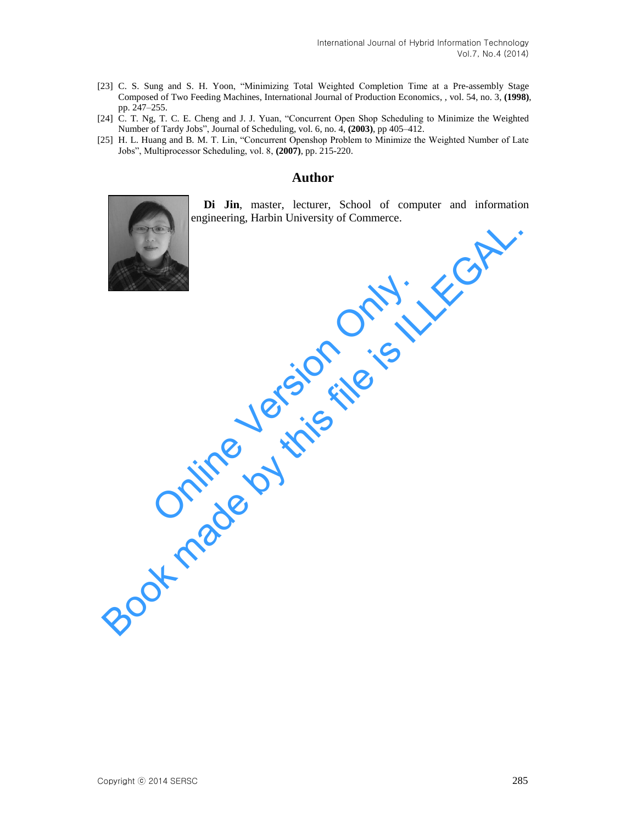- [23] C. S. Sung and S. H. Yoon, "Minimizing Total Weighted Completion Time at a Pre-assembly Stage Composed of Two Feeding Machines, International Journal of Production Economics, , vol. 54, no. 3, **(1998)**, pp. 247–255.
- [24] C. T. Ng, T. C. E. Cheng and J. J. Yuan, "Concurrent Open Shop Scheduling to Minimize the Weighted Number of Tardy Jobs", Journal of Scheduling, vol. 6, no. 4, **(2003)**, pp 405–412.
- [25] H. L. Huang and B. M. T. Lin, "Concurrent Openshop Problem to Minimize the Weighted Number of Late Jobs", Multiprocessor Scheduling, vol. 8, **(2007)**, pp. 215-220.

### **Author**



**Di Jin**, master, lecturer, School of computer and information engineering, Harbin University of Commerce.